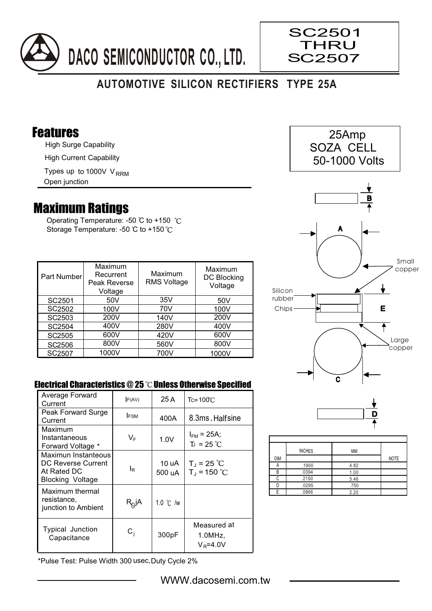

## **AUTOMOTIVE SILICON RECTIFIERS TYPE 25A**

## Features

High Surge Capability

High Current Capability

Types up to 1000V V<sub>RRM</sub>

Open junction

## Maximum Ratings

Operating Temperature: -50 °C to +150 °C Storage Temperature: -50 °C to +150 °C

| Part Number        | Maximum<br>Recurrent<br>Peak Reverse<br>Voltage | Maximum<br><b>RMS Voltage</b> | Maximum<br>DC Blocking<br>Voltage |
|--------------------|-------------------------------------------------|-------------------------------|-----------------------------------|
| SC2501             | 50V                                             | 35V                           | 50V                               |
| SC <sub>2502</sub> | 100V                                            | 70V                           | 100V                              |
| SC2503             | 200V                                            | 140V                          | 200V                              |
| SC2504             | 400V                                            | 280V                          | 400V                              |
| SC2505             | 600V                                            | 420V                          | 600V                              |
| SC2506             | 800V                                            | 560V                          | 800V                              |
| SC2507             | 1000V                                           | 700V                          | 1000V                             |

## Electrical Characteristics  $@25$   $^{\circ}$ C Unless Otherwise Specified

| Average Forward<br>Current                                                   | F(AV)        | 25 A               | $Tc = 100^{\circ}$ C                 |
|------------------------------------------------------------------------------|--------------|--------------------|--------------------------------------|
| Peak Forward Surge<br>Current                                                | <b>IFSM</b>  | 400A               | 8.3ms, Halfsine                      |
| Maximum<br>Instantaneous<br>Forward Voltage *                                | VF           | 1.0V               | $I_{FM}$ = 25A;<br>$T_{J}$ = 25 °C   |
| Maximun Instanteous<br>DC Reverse Current<br>At Rated DC<br>Blocking Voltage | ΙR           | 10 uA<br>500 uA    | $T_J = 25 °C$<br>$T_{J}$ = 150 °C    |
| Maximum thermal<br>resistance,<br>junction to Ambient                        | $R_{Q}$ jA   | 1.0 $\degree$ C /w |                                      |
| Typical Junction<br>Capacitance                                              | $\rm{C_{i}}$ | 300pF              | Measured at<br>1.0MHz<br>$V_R$ =4.0V |

\*Pulse Test: Pulse Width 300 usec,Duty Cycle 2%



SC2501 **THRU** SC2507



 $\overline{\mathbf{c}}$ 

|     | <b>INCHES</b> | MM   |             |
|-----|---------------|------|-------------|
| DIM |               |      | <b>NOTE</b> |
|     | .1900         | 4.82 |             |
| R   | .0394         | 1.00 |             |
| ◠   | .2150         | 5.46 |             |
|     | .0295         | .750 |             |
| F   | .0866         | 2.20 |             |